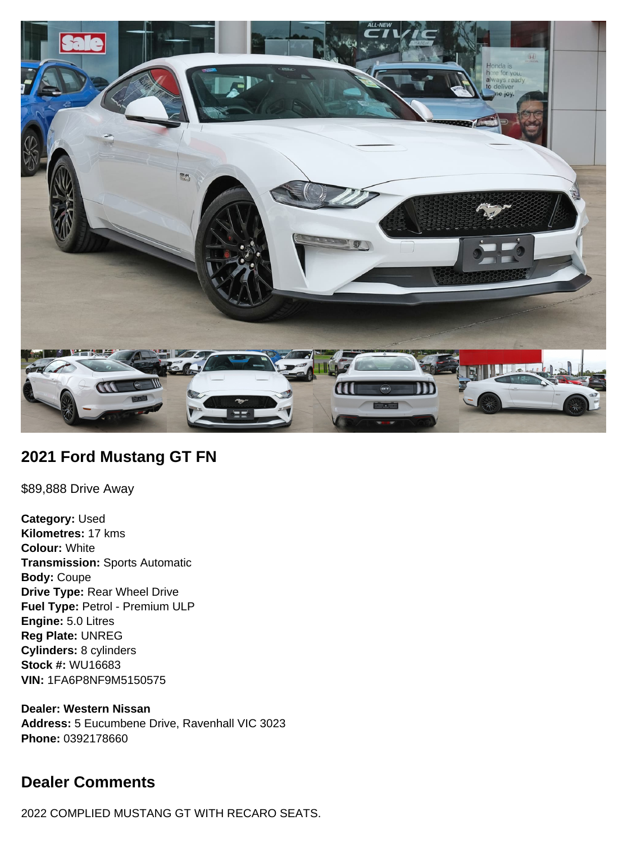

## **2021 Ford Mustang GT FN**

\$89,888 Drive Away

**Category:** Used **Kilometres:** 17 kms **Colour:** White **Transmission:** Sports Automatic **Body:** Coupe **Drive Type:** Rear Wheel Drive **Fuel Type:** Petrol - Premium ULP **Engine:** 5.0 Litres **Reg Plate:** UNREG **Cylinders:** 8 cylinders **Stock #:** WU16683 **VIN:** 1FA6P8NF9M5150575

**Dealer: Western Nissan Address:** 5 Eucumbene Drive, Ravenhall VIC 3023 **Phone:** 0392178660

# **Dealer Comments**

2022 COMPLIED MUSTANG GT WITH RECARO SEATS.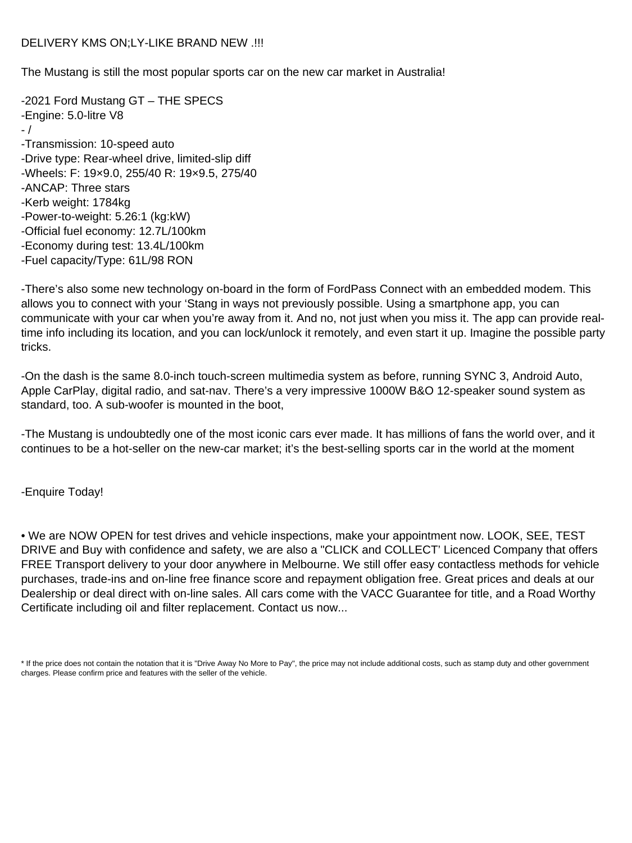DELIVERY KMS ON;LY-LIKE BRAND NEW .!!!

The Mustang is still the most popular sports car on the new car market in Australia!

-2021 Ford Mustang GT – THE SPECS -Engine: 5.0-litre V8 - / -Transmission: 10-speed auto -Drive type: Rear-wheel drive, limited-slip diff -Wheels: F: 19×9.0, 255/40 R: 19×9.5, 275/40 -ANCAP: Three stars -Kerb weight: 1784kg -Power-to-weight: 5.26:1 (kg:kW) -Official fuel economy: 12.7L/100km -Economy during test: 13.4L/100km -Fuel capacity/Type: 61L/98 RON

-There's also some new technology on-board in the form of FordPass Connect with an embedded modem. This allows you to connect with your 'Stang in ways not previously possible. Using a smartphone app, you can communicate with your car when you're away from it. And no, not just when you miss it. The app can provide realtime info including its location, and you can lock/unlock it remotely, and even start it up. Imagine the possible party tricks.

-On the dash is the same 8.0-inch touch-screen multimedia system as before, running SYNC 3, Android Auto, Apple CarPlay, digital radio, and sat-nav. There's a very impressive 1000W B&O 12-speaker sound system as standard, too. A sub-woofer is mounted in the boot,

-The Mustang is undoubtedly one of the most iconic cars ever made. It has millions of fans the world over, and it continues to be a hot-seller on the new-car market; it's the best-selling sports car in the world at the moment

-Enquire Today!

• We are NOW OPEN for test drives and vehicle inspections, make your appointment now. LOOK, SEE, TEST DRIVE and Buy with confidence and safety, we are also a "CLICK and COLLECT' Licenced Company that offers FREE Transport delivery to your door anywhere in Melbourne. We still offer easy contactless methods for vehicle purchases, trade-ins and on-line free finance score and repayment obligation free. Great prices and deals at our Dealership or deal direct with on-line sales. All cars come with the VACC Guarantee for title, and a Road Worthy Certificate including oil and filter replacement. Contact us now...

\* If the price does not contain the notation that it is "Drive Away No More to Pay", the price may not include additional costs, such as stamp duty and other government charges. Please confirm price and features with the seller of the vehicle.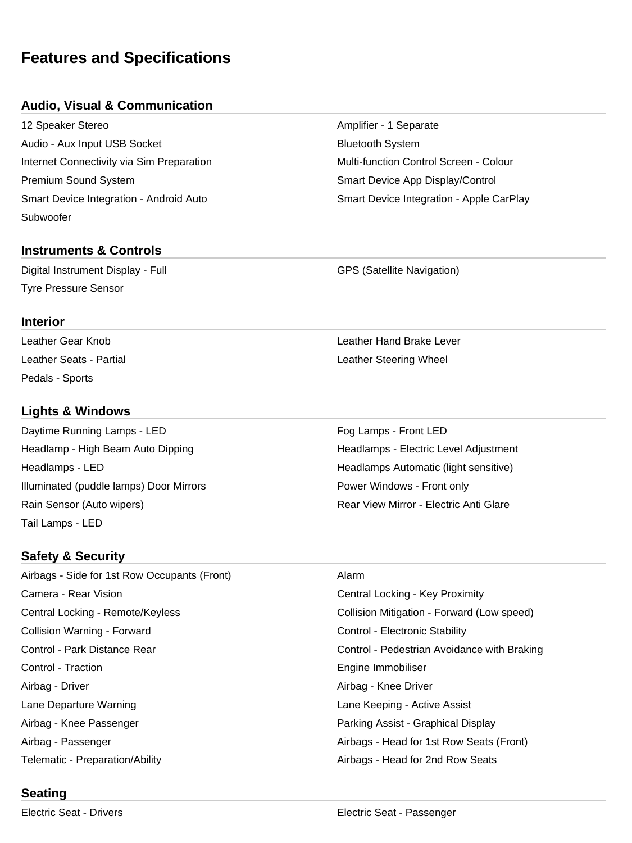# **Features and Specifications**

#### **Audio, Visual & Communication**

12 Speaker Stereo **Amplifier - 1 Separate** Amplifier - 1 Separate Audio - Aux Input USB Socket **Bluetooth System** Bluetooth System Internet Connectivity via Sim Preparation **Multi-function Control Screen** - Colour Premium Sound System Smart Device App Display/Control Subwoofer

#### **Instruments & Controls**

Digital Instrument Display - Full GPS (Satellite Navigation) Tyre Pressure Sensor

# Smart Device Integration - Android Auto Smart Device Integration - Apple CarPlay

Leather Gear Knob Leather Hand Brake Lever Leather Seats - Partial **Leather Steering Wheel** 

# **Lights & Windows**

Pedals - Sports

**Interior**

Daytime Running Lamps - LED For the Control of Trumps - Front LED Fog Lamps - Front LED Headlamp - High Beam Auto Dipping Headlamps - Electric Level Adjustment Headlamps - LED **Headlamps Automatic (light sensitive)** Headlamps Automatic (light sensitive) Illuminated (puddle lamps) Door Mirrors **Power Windows - Front only** Power Windows - Front only Rain Sensor (Auto wipers) The Common Sensitive Common Sensitive Common Sensitive Common Sensitive Common Sensitive Common Sensitive Common Sensitive Common Sensitive Common Sensitive Common Sensitive Common Sensitive Commo Tail Lamps - LED

### **Safety & Security**

Airbags - Side for 1st Row Occupants (Front) Alarm Camera - Rear Vision Central Locking - Key Proximity Central Locking - Remote/Keyless Collision Mitigation - Forward (Low speed) Collision Warning - Forward **Control - Electronic Stability** Control - Electronic Stability Control - Park Distance Rear Control - Pedestrian Avoidance with Braking Control - Traction **Engine Immobiliser** Engine Immobiliser Airbag - Driver **Airbag - Knee Driver** Airbag - Knee Driver Lane Departure Warning Lane Keeping - Active Assist Airbag - Knee Passenger Parking Assist - Graphical Display Airbag - Passenger **Airbags - Head for 1st Row Seats (Front)** Telematic - Preparation/Ability Airbags - Head for 2nd Row Seats

### **Seating**